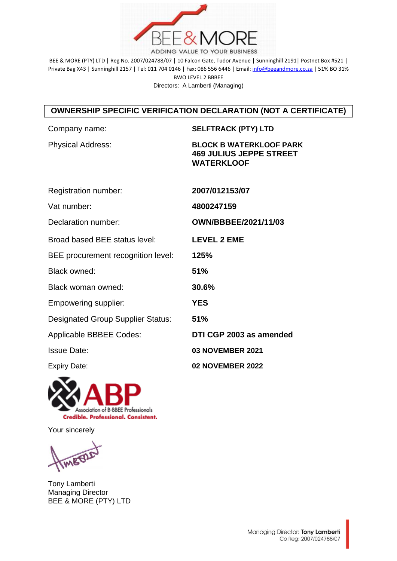

BEE & MORE (PTY) LTD | Reg No. 2007/024788/07 | 10 Falcon Gate, Tudor Avenue | Sunninghill 2191| Postnet Box #521 | Private Bag X43 | Sunninghill 2157 | Tel: 011 704 0146 | Fax: 086 556 6446 | Email[: info@beeandmore.co.za](mailto:info@beeandmore.co.za) | 51% BO 31% BWO LEVEL 2 BBBEE Directors: A Lamberti (Managing)

## **OWNERSHIP SPECIFIC VERIFICATION DECLARATION (NOT A CERTIFICATE)**

| Company name:                            | <b>SELFTRACK (PTY) LTD</b>                                                            |
|------------------------------------------|---------------------------------------------------------------------------------------|
| <b>Physical Address:</b>                 | <b>BLOCK B WATERKLOOF PARK</b><br><b>469 JULIUS JEPPE STREET</b><br><b>WATERKLOOF</b> |
| Registration number:                     | 2007/012153/07                                                                        |
| Vat number:                              | 4800247159                                                                            |
| Declaration number:                      | OWN/BBBEE/2021/11/03                                                                  |
| Broad based BEE status level:            | <b>LEVEL 2 EME</b>                                                                    |
| BEE procurement recognition level:       | 125%                                                                                  |
| <b>Black owned:</b>                      | 51%                                                                                   |
| Black woman owned:                       | 30.6%                                                                                 |
| Empowering supplier:                     | <b>YES</b>                                                                            |
| <b>Designated Group Supplier Status:</b> | 51%                                                                                   |
| Applicable BBBEE Codes:                  | DTI CGP 2003 as amended                                                               |
| <b>Issue Date:</b>                       | <b>03 NOVEMBER 2021</b>                                                               |
| <b>Expiry Date:</b>                      | <b>02 NOVEMBER 2022</b>                                                               |



Your sincerely

IMBED

Tony Lamberti Managing Director BEE & MORE (PTY) LTD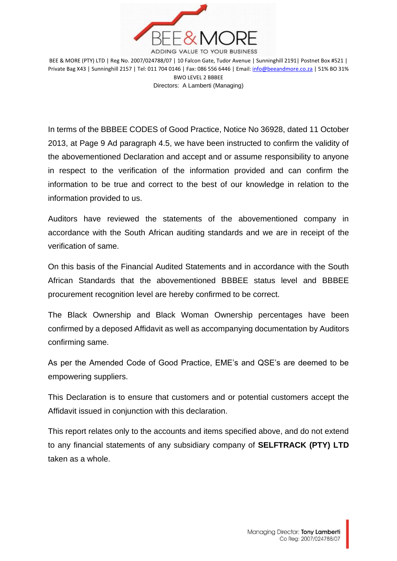

BEE & MORE (PTY) LTD | Reg No. 2007/024788/07 | 10 Falcon Gate, Tudor Avenue | Sunninghill 2191| Postnet Box #521 | Private Bag X43 | Sunninghill 2157 | Tel: 011 704 0146 | Fax: 086 556 6446 | Email[: info@beeandmore.co.za](mailto:info@beeandmore.co.za) | 51% BO 31% BWO LEVEL 2 BBBEE Directors: A Lamberti (Managing)

In terms of the BBBEE CODES of Good Practice, Notice No 36928, dated 11 October 2013, at Page 9 Ad paragraph 4.5, we have been instructed to confirm the validity of the abovementioned Declaration and accept and or assume responsibility to anyone in respect to the verification of the information provided and can confirm the information to be true and correct to the best of our knowledge in relation to the information provided to us.

Auditors have reviewed the statements of the abovementioned company in accordance with the South African auditing standards and we are in receipt of the verification of same.

On this basis of the Financial Audited Statements and in accordance with the South African Standards that the abovementioned BBBEE status level and BBBEE procurement recognition level are hereby confirmed to be correct.

The Black Ownership and Black Woman Ownership percentages have been confirmed by a deposed Affidavit as well as accompanying documentation by Auditors confirming same.

As per the Amended Code of Good Practice, EME's and QSE's are deemed to be empowering suppliers.

This Declaration is to ensure that customers and or potential customers accept the Affidavit issued in conjunction with this declaration.

This report relates only to the accounts and items specified above, and do not extend to any financial statements of any subsidiary company of **SELFTRACK (PTY) LTD** taken as a whole.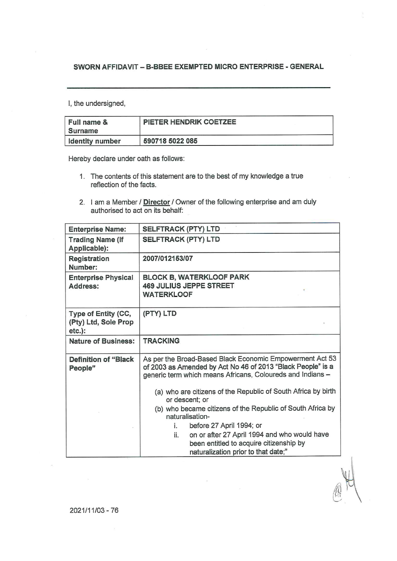## SWORN AFFIDAVIT - B-BBEE EXEMPTED MICRO ENTERPRISE - GENERAL

I, the undersigned,

| Full name &<br><b>Surname</b> | PIETER HENDRIK COETZEE |  |
|-------------------------------|------------------------|--|
| I Identity number             | 590718 5022 085        |  |

Hereby declare under oath as follows:

- 1. The contents of this statement are to the best of my knowledge a true reflection of the facts.
- 2. I am a Member / Director / Owner of the following enterprise and am duly authorised to act on its behalf:

| <b>Enterprise Name:</b>                                  | <b>SELFTRACK (PTY) LTD</b>                                                                                                                                                            |  |  |
|----------------------------------------------------------|---------------------------------------------------------------------------------------------------------------------------------------------------------------------------------------|--|--|
| <b>Trading Name (If</b><br>Applicable):                  | <b>SELFTRACK (PTY) LTD</b>                                                                                                                                                            |  |  |
| Registration<br>Number:                                  | 2007/012153/07                                                                                                                                                                        |  |  |
| <b>Enterprise Physical</b><br>Address:                   | <b>BLOCK B, WATERKLOOF PARK</b><br><b>469 JULIUS JEPPE STREET</b><br><b>WATERKLOOF</b>                                                                                                |  |  |
| Type of Entity (CC,<br>(Pty) Ltd, Sole Prop<br>$etc.$ ): | (PTY) LTD                                                                                                                                                                             |  |  |
| <b>Nature of Business:</b>                               | <b>TRACKING</b>                                                                                                                                                                       |  |  |
| <b>Definition of "Black</b><br>People"                   | As per the Broad-Based Black Economic Empowerment Act 53<br>of 2003 as Amended by Act No 46 of 2013 "Black People" is a<br>generic term which means Africans, Coloureds and Indians - |  |  |
|                                                          | (a) who are citizens of the Republic of South Africa by birth<br>or descent; or                                                                                                       |  |  |
|                                                          | (b) who became citizens of the Republic of South Africa by<br>naturalisation-                                                                                                         |  |  |
|                                                          | before 27 April 1994; or<br>i.<br>on or after 27 April 1994 and who would have<br>ii.                                                                                                 |  |  |
|                                                          | been entitled to acquire citizenship by<br>naturalization prior to that date;"                                                                                                        |  |  |

2021/11/03 - 76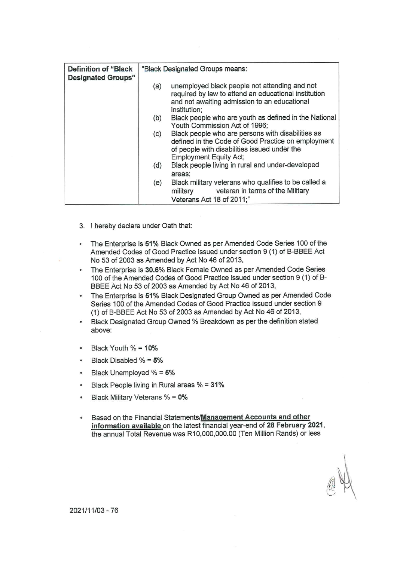| <b>Definition of "Black</b><br><b>Designated Groups"</b> | "Black Designated Groups means: |                                                                                                                                                                                          |
|----------------------------------------------------------|---------------------------------|------------------------------------------------------------------------------------------------------------------------------------------------------------------------------------------|
|                                                          | (a)                             | unemployed black people not attending and not<br>required by law to attend an educational institution<br>and not awaiting admission to an educational<br>institution;                    |
|                                                          | (b)                             | Black people who are youth as defined in the National<br>Youth Commission Act of 1996;                                                                                                   |
|                                                          | (c)                             | Black people who are persons with disabilities as<br>defined in the Code of Good Practice on employment<br>of people with disabilities issued under the<br><b>Employment Equity Act;</b> |
|                                                          | (d)                             | Black people living in rural and under-developed<br>areas;                                                                                                                               |
|                                                          | (e)                             | Black military veterans who qualifies to be called a<br>military veteran in terms of the Military<br>Veterans Act 18 of 2011;"                                                           |

- 3. I hereby declare under Oath that:
- The Enterprise is 51% Black Owned as per Amended Code Series 100 of the  $\bullet$ Amended Codes of Good Practice issued under section 9 (1) of B-BBEE Act No 53 of 2003 as Amended by Act No 46 of 2013,
- The Enterprise is 30.6% Black Female Owned as per Amended Code Series  $\bullet$ 100 of the Amended Codes of Good Practice issued under section 9 (1) of B-BBEE Act No 53 of 2003 as Amended by Act No 46 of 2013,
- The Enterprise is 51% Black Designated Group Owned as per Amended Code Series 100 of the Amended Codes of Good Practice issued under section 9 (1) of B-BBEE Act No 53 of 2003 as Amended by Act No 46 of 2013,
- Black Designated Group Owned % Breakdown as per the definition stated  $\bullet$ above:
- Black Youth % = 10%
- Black Disabled % = 5%
- Black Unemployed % = 5%
- Black People living in Rural areas % = 31%  $\bullet$
- Black Military Veterans % = 0%  $\bullet$
- Based on the Financial Statements/Management Accounts and other information available on the latest financial year-end of 28 February 2021, the annual Total Revenue was R10,000,000.00 (Ten Million Rands) or less

2021/11/03 - 76